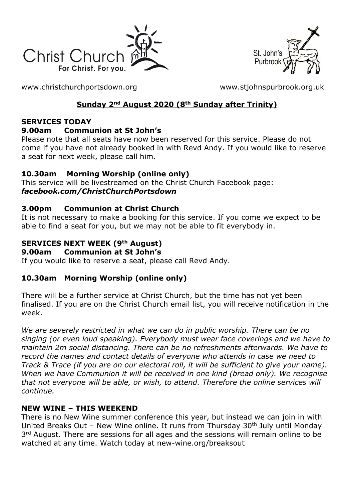



[www.christchurchportsdown.org](http://www.christchurchportsdown.org/) [www.stjohnspurbrook.org.uk](http://www.stjohnspurbrook.org.uk/)

## **Sunday 2nd August 2020 (8th Sunday after Trinity)**

### **SERVICES TODAY**

### **9.00am Communion at St John's**

Please note that all seats have now been reserved for this service. Please do not come if you have not already booked in with Revd Andy. If you would like to reserve a seat for next week, please call him.

## **10.30am Morning Worship (online only)**

This service will be livestreamed on the Christ Church Facebook page: *[facebook.com/ChristChurchPortsdown](http://www.facebook.com/ChristChurchPortsdown%20at%2010.30)*

### **3.00pm Communion at Christ Church**

It is not necessary to make a booking for this service. If you come we expect to be able to find a seat for you, but we may not be able to fit everybody in.

## **SERVICES NEXT WEEK (9th August)**

#### **9.00am Communion at St John's**

If you would like to reserve a seat, please call Revd Andy.

### **10.30am Morning Worship (online only)**

There will be a further service at Christ Church, but the time has not yet been finalised. If you are on the Christ Church email list, you will receive notification in the week.

*We are severely restricted in what we can do in public worship. There can be no singing (or even loud speaking). Everybody must wear face coverings and we have to maintain 2m social distancing. There can be no refreshments afterwards. We have to record the names and contact details of everyone who attends in case we need to Track & Trace (if you are on our electoral roll, it will be sufficient to give your name). When we have Communion it will be received in one kind (bread only). We recognise that not everyone will be able, or wish, to attend. Therefore the online services will continue.*

### **NEW WINE – THIS WEEKEND**

There is no New Wine summer conference this year, but instead we can join in with United Breaks Out – New Wine online. It runs from Thursday  $30<sup>th</sup>$  July until Monday 3<sup>rd</sup> August. There are sessions for all ages and the sessions will remain online to be watched at any time. Watch today at new-wine.org/breaksout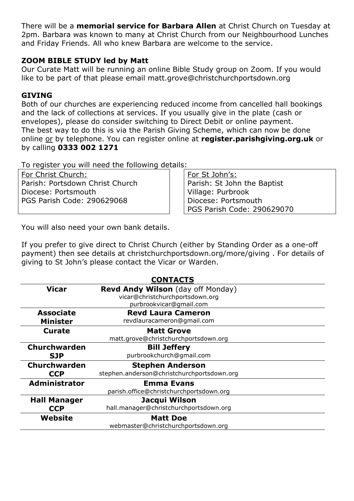There will be a **memorial service for Barbara Allen** at Christ Church on Tuesday at 2pm. Barbara was known to many at Christ Church from our Neighbourhood Lunches and Friday Friends. All who knew Barbara are welcome to the service.

#### **ZOOM BIBLE STUDY led by Matt**

Our Curate Matt will be running an online Bible Study group on Zoom. If you would like to be part of that please email [matt.grove@christchurchportsdown.org](mailto:matt.grove@christchurchportsdown.org)

#### **GIVING**

Both of our churches are experiencing reduced income from cancelled hall bookings and the lack of collections at services. If you usually give in the plate (cash or envelopes), please do consider switching to Direct Debit or online payment. The best way to do this is via the Parish Giving Scheme, which can now be done online or by telephone. You can register online at **register.parishgiving.org.uk** or by calling **0333 002 1271**

To register you will need the following details:

For Christ Church: Parish: Portsdown Christ Church Diocese: Portsmouth PGS Parish Code: 290629068

For St John's: Parish: St John the Baptist Village: Purbrook Diocese: Portsmouth PGS Parish Code: 290629070

You will also need your own bank details.

If you prefer to give direct to Christ Church (either by Standing Order as a one-off payment) then see details at christchurchportsdown.org/more/giving . For details of giving to St John's please contact the Vicar or Warden.

| <b>CONTACTS</b>      |                                            |
|----------------------|--------------------------------------------|
| <b>Vicar</b>         | <b>Revd Andy Wilson</b> (day off Monday)   |
|                      | vicar@christchurchportsdown.org            |
|                      | purbrookvicar@gmail.com                    |
| <b>Associate</b>     | <b>Revd Laura Cameron</b>                  |
| <b>Minister</b>      | revdlauracameron@gmail.com                 |
| <b>Curate</b>        | <b>Matt Grove</b>                          |
|                      | matt.grove@christchurchportsdown.org       |
| <b>Churchwarden</b>  | <b>Bill Jeffery</b>                        |
| <b>SJP</b>           | purbrookchurch@gmail.com                   |
| <b>Churchwarden</b>  | <b>Stephen Anderson</b>                    |
| <b>CCP</b>           | stephen.anderson@christchurchportsdown.org |
| <b>Administrator</b> | <b>Emma Evans</b>                          |
|                      | parish.office@christchurchportsdown.org    |
| <b>Hall Manager</b>  | Jacqui Wilson                              |
| <b>CCP</b>           | hall.manager@christchurchportsdown.org     |
| Website              | <b>Matt Doe</b>                            |
|                      | webmaster@christchurchportsdown.org        |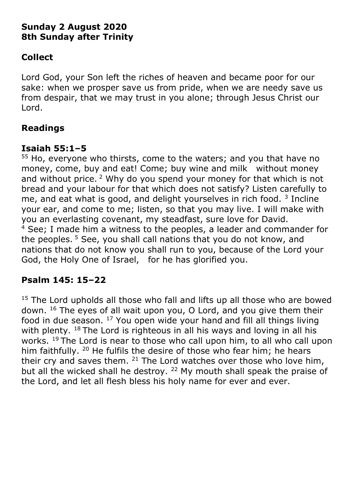# **Sunday 2 August 2020 8th Sunday after Trinity**

# **Collect**

Lord God, your Son left the riches of heaven and became poor for our sake: when we prosper save us from pride, when we are needy save us from despair, that we may trust in you alone; through Jesus Christ our Lord.

# **Readings**

## **Isaiah 55:1–5**

<sup>55</sup> Ho, everyone who thirsts, come to the waters; and you that have no money, come, buy and eat! Come; buy wine and milk without money and without price. <sup>2</sup> Why do you spend your money for that which is not bread and your labour for that which does not satisfy? Listen carefully to me, and eat what is good, and delight yourselves in rich food.  $3$  Incline your ear, and come to me; listen, so that you may live. I will make with you an everlasting covenant, my steadfast, sure love for David. <sup>4</sup> See; I made him a witness to the peoples, a leader and commander for the peoples.<sup>5</sup> See, you shall call nations that you do not know, and nations that do not know you shall run to you, because of the Lord your God, the Holy One of Israel, for he has glorified you.

# **Psalm 145: 15–22**

<sup>15</sup> The Lord upholds all those who fall and lifts up all those who are bowed down. <sup>16</sup> The eyes of all wait upon you, O Lord, and you give them their food in due season. <sup>17</sup> You open wide your hand and fill all things living with plenty.  $18$  The Lord is righteous in all his ways and loving in all his works. <sup>19</sup> The Lord is near to those who call upon him, to all who call upon him faithfully. <sup>20</sup> He fulfils the desire of those who fear him; he hears their cry and saves them.  $21$  The Lord watches over those who love him, but all the wicked shall he destroy. <sup>22</sup> My mouth shall speak the praise of the Lord, and let all flesh bless his holy name for ever and ever.